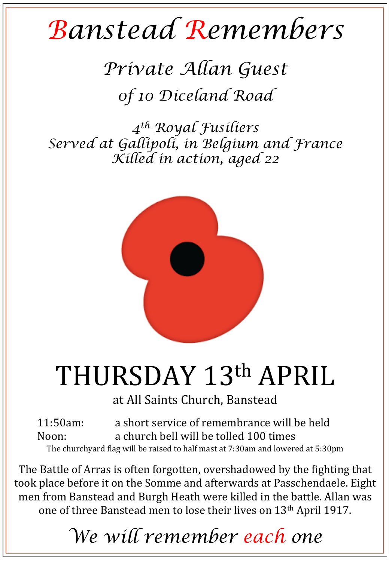## *Banstead Remembers*

*Private Allan Guest 0f 10 Diceland Road* 

*4th Royal Fusiliers Served at Gallipoli, in Belgium and France Killed in action, aged 22* 



## THURSDAY 13th APRIL

at All Saints Church, Banstead

11:50am: a short service of remembrance will be held Noon: a church bell will be tolled 100 times The churchyard flag will be raised to half mast at 7:30am and lowered at 5:30pm

The Battle of Arras is often forgotten, overshadowed by the fighting that took place before it on the Somme and afterwards at Passchendaele. Eight men from Banstead and Burgh Heath were killed in the battle. Allan was one of three Banstead men to lose their lives on 13<sup>th</sup> April 1917.

*We will remember each one*